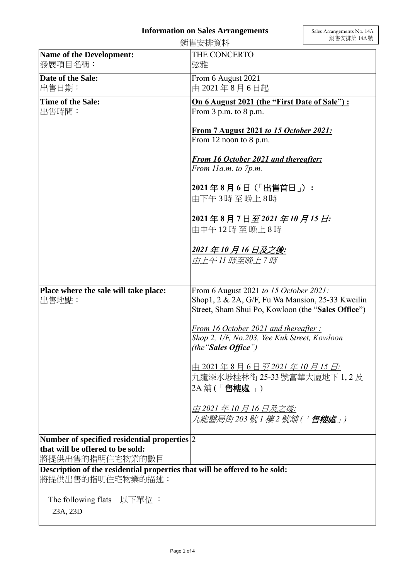## **Information on Sales Arrangements**

|                                                                                      | 銷售安排資料                                                                                                 | 銷售安排第 14A 號 |
|--------------------------------------------------------------------------------------|--------------------------------------------------------------------------------------------------------|-------------|
| <b>Name of the Development:</b><br>發展項目名稱:                                           | THE CONCERTO<br>弦雅                                                                                     |             |
| Date of the Sale:<br>出售日期:                                                           | From 6 August 2021<br>由 2021年8月6日起                                                                     |             |
| Time of the Sale:                                                                    |                                                                                                        |             |
| 出售時間:                                                                                | On 6 August 2021 (the "First Date of Sale"):<br>From 3 p.m. to 8 p.m.                                  |             |
|                                                                                      | From 7 August 2021 to 15 October 2021:<br>From 12 noon to 8 p.m.                                       |             |
|                                                                                      | <b>From 16 October 2021 and thereafter:</b>                                                            |             |
|                                                                                      | From 11a.m. to 7p.m.                                                                                   |             |
|                                                                                      | 2021年8月6日(「出售首日」):<br>由下午3時至晚上8時                                                                       |             |
|                                                                                      | <u> 2021年8月7日至2021年10月15日:</u>                                                                         |             |
|                                                                                      | 由中午12時至晚上8時                                                                                            |             |
|                                                                                      | 2021 年 10 月 16 日及之後:                                                                                   |             |
|                                                                                      | 由上午11 時至晩上7 時                                                                                          |             |
|                                                                                      |                                                                                                        |             |
| Place where the sale will take place:                                                | From 6 August 2021 to 15 October 2021:                                                                 |             |
| 出售地點:                                                                                | Shop1, 2 & 2A, G/F, Fu Wa Mansion, 25-33 Kweilin<br>Street, Sham Shui Po, Kowloon (the "Sales Office") |             |
|                                                                                      | From 16 October 2021 and thereafter:                                                                   |             |
|                                                                                      | Shop 2, 1/F, No.203, Yee Kuk Street, Kowloon<br>(the "Sales Office")                                   |             |
|                                                                                      | 由 2021年8月6日 <i>至 2021 年 10 月 15 日</i> :                                                                |             |
|                                                                                      | 九龍深水埗桂林街 25-33 號富華大廈地下 1, 2 及<br>2A 舖 (「 <b>售樓處</b> 」)                                                 |             |
|                                                                                      | 由 2021 年 10 月 16 日及之後:                                                                                 |             |
|                                                                                      | 九龍醫局街203 號 1 樓 2 號舖 (「 <b>售樓處</b> 」)                                                                   |             |
| Number of specified residential properties 2                                         |                                                                                                        |             |
| that will be offered to be sold:<br> 將提供出售的指明住宅物業的數目                                 |                                                                                                        |             |
| Description of the residential properties that will be offered to be sold:           |                                                                                                        |             |
| 將提供出售的指明住宅物業的描述:                                                                     |                                                                                                        |             |
| The following flats $\mathcal{Y} \rightarrow \mathbb{R}$ $\mathcal{Y}$ :<br>23A, 23D |                                                                                                        |             |
|                                                                                      |                                                                                                        |             |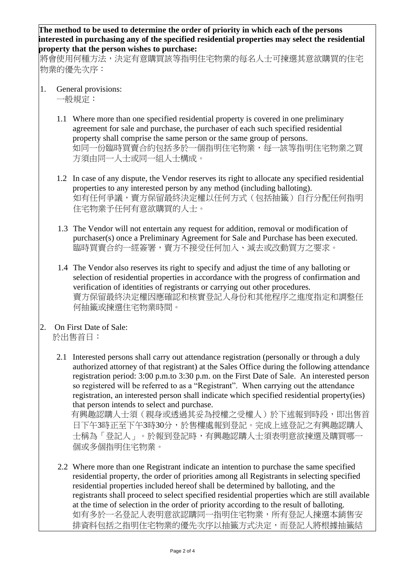**The method to be used to determine the order of priority in which each of the persons interested in purchasing any of the specified residential properties may select the residential property that the person wishes to purchase:** 

將會使用何種方法,決定有意購買該等指明住宅物業的每名人士可揀選其意欲購買的住宅 物業的優先次序:

- 1. General provisions: 一般規定:
	- 1.1 Where more than one specified residential property is covered in one preliminary agreement for sale and purchase, the purchaser of each such specified residential property shall comprise the same person or the same group of persons. 如同一份臨時買賣合約包括多於一個指明住宅物業,每一該等指明住宅物業之買 方須由同一人士或同一組人士構成。
	- 1.2 In case of any dispute, the Vendor reserves its right to allocate any specified residential properties to any interested person by any method (including balloting). 如有任何爭議,賣方保留最終決定權以任何方式(包括抽籤)自行分配任何指明 住宅物業予任何有意欲購買的人士。
	- 1.3 The Vendor will not entertain any request for addition, removal or modification of purchaser(s) once a Preliminary Agreement for Sale and Purchase has been executed. 臨時買賣合約一經簽署,賣方不接受任何加入、減去或改動買方之要求。
	- 1.4 The Vendor also reserves its right to specify and adjust the time of any balloting or selection of residential properties in accordance with the progress of confirmation and verification of identities of registrants or carrying out other procedures. 賣方保留最終決定權因應確認和核實登記人身份和其他程序之進度指定和調整任 何抽籤或揀選住宅物業時間。
- 2. On First Date of Sale: 於出售首日:
	- 2.1 Interested persons shall carry out attendance registration (personally or through a duly authorized attorney of that registrant) at the Sales Office during the following attendance registration period: 3:00 p.m.to 3:30 p.m. on the First Date of Sale. An interested person so registered will be referred to as a "Registrant". When carrying out the attendance registration, an interested person shall indicate which specified residential property(ies) that person intends to select and purchase.

 有興趣認購人士須(親身或透過其妥為授權之受權人)於下述報到時段,即出售首 日下午3時正至下午3時30分,於售樓處報到登記。完成上述登記之有興趣認購人 士稱為「登記人」。於報到登記時,有興趣認購人士須表明意欲揀選及購買哪一 個或多個指明住宅物業。

2.2 Where more than one Registrant indicate an intention to purchase the same specified residential property, the order of priorities among all Registrants in selecting specified residential properties included hereof shall be determined by balloting, and the registrants shall proceed to select specified residential properties which are still available at the time of selection in the order of priority according to the result of balloting. 如有多於一名登記人表明意欲認購同一指明住宅物業,所有登記人揀選本銷售安 排資料包括之指明住宅物業的優先次序以抽籤方式決定,而登記人將根據抽籤結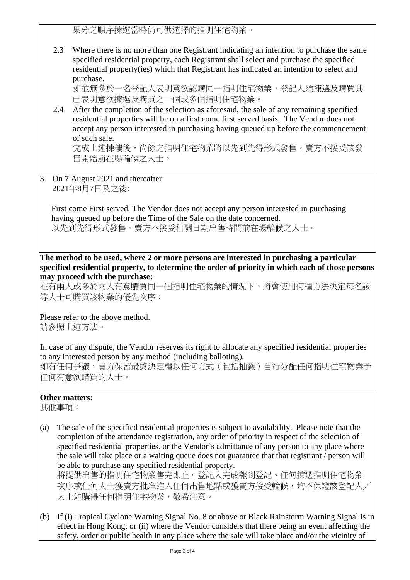果分之順序揀選當時仍可供選擇的指明住宅物業。

2.3 Where there is no more than one Registrant indicating an intention to purchase the same specified residential property, each Registrant shall select and purchase the specified residential property(ies) which that Registrant has indicated an intention to select and purchase.

如並無多於一名登記人表明意欲認購同一指明住宅物業,登記人須揀選及購買其 已表明意欲揀選及購買之一個或多個指明住宅物業。

2.4 After the completion of the selection as aforesaid, the sale of any remaining specified residential properties will be on a first come first served basis. The Vendor does not accept any person interested in purchasing having queued up before the commencement of such sale.

完成上述揀樓後,尚餘之指明住宅物業將以先到先得形式發售。賣方不接受該發 售開始前在場輪候之人士。

3. On 7 August 2021 and thereafter: 2021年8月7日及之後:

First come First served. The Vendor does not accept any person interested in purchasing having queued up before the Time of the Sale on the date concerned. 以先到先得形式發售。賣方不接受相關日期出售時間前在場輪候之人士。

**The method to be used, where 2 or more persons are interested in purchasing a particular specified residential property, to determine the order of priority in which each of those persons may proceed with the purchase:**

在有兩人或多於兩人有意購買同一個指明住宅物業的情況下,將會使用何種方法決定每名該 等人士可購買該物業的優先次序:

Please refer to the above method. 請參照上述方法。

In case of any dispute, the Vendor reserves its right to allocate any specified residential properties to any interested person by any method (including balloting).

如有任何爭議,賣方保留最終決定權以任何方式(包括抽籤)自行分配任何指明住宅物業予 任何有意欲購買的人士。

## **Other matters:**

其他事項:

(a) The sale of the specified residential properties is subject to availability. Please note that the completion of the attendance registration, any order of priority in respect of the selection of specified residential properties, or the Vendor's admittance of any person to any place where the sale will take place or a waiting queue does not guarantee that that registrant / person will be able to purchase any specified residential property. 將提供出售的指明住宅物業售完即止。登記人完成報到登記、任何揀選指明住宅物業

次序或任何人生獲賣方批准進入任何出售地點或獲賣方接受輪候,均不保證該登記人/ 人士能購得任何指明住宅物業,敬希注意。

(b) If (i) Tropical Cyclone Warning Signal No. 8 or above or Black Rainstorm Warning Signal is in effect in Hong Kong; or (ii) where the Vendor considers that there being an event affecting the safety, order or public health in any place where the sale will take place and/or the vicinity of